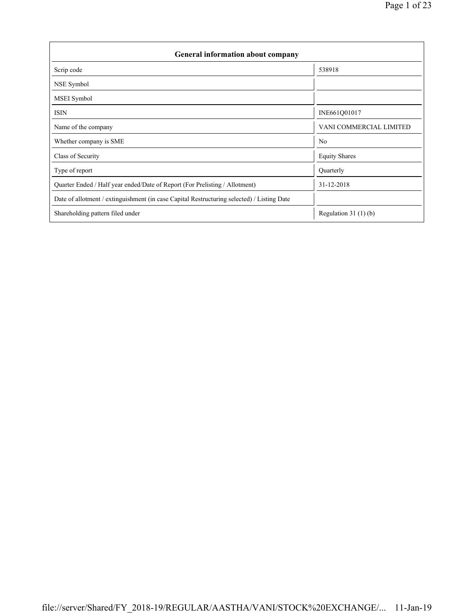| <b>General information about company</b>                                                   |                         |  |  |  |  |  |  |  |
|--------------------------------------------------------------------------------------------|-------------------------|--|--|--|--|--|--|--|
| Scrip code                                                                                 | 538918                  |  |  |  |  |  |  |  |
| NSE Symbol                                                                                 |                         |  |  |  |  |  |  |  |
| <b>MSEI</b> Symbol                                                                         |                         |  |  |  |  |  |  |  |
| <b>ISIN</b>                                                                                | INE661Q01017            |  |  |  |  |  |  |  |
| Name of the company                                                                        | VANI COMMERCIAL LIMITED |  |  |  |  |  |  |  |
| Whether company is SME                                                                     | N <sub>0</sub>          |  |  |  |  |  |  |  |
| Class of Security                                                                          | <b>Equity Shares</b>    |  |  |  |  |  |  |  |
| Type of report                                                                             | Quarterly               |  |  |  |  |  |  |  |
| Quarter Ended / Half year ended/Date of Report (For Prelisting / Allotment)                | 31-12-2018              |  |  |  |  |  |  |  |
| Date of allotment / extinguishment (in case Capital Restructuring selected) / Listing Date |                         |  |  |  |  |  |  |  |
| Shareholding pattern filed under                                                           | Regulation $31(1)(b)$   |  |  |  |  |  |  |  |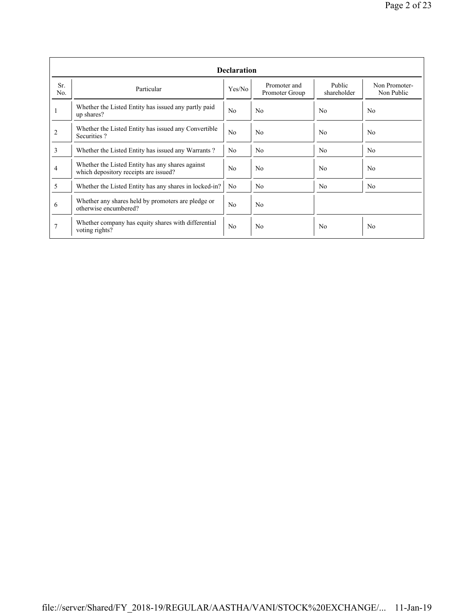|            | <b>Declaration</b>                                                                        |                |                                |                       |                             |  |  |  |  |  |  |
|------------|-------------------------------------------------------------------------------------------|----------------|--------------------------------|-----------------------|-----------------------------|--|--|--|--|--|--|
| Sr.<br>No. | Particular                                                                                | Yes/No         | Promoter and<br>Promoter Group | Public<br>shareholder | Non Promoter-<br>Non Public |  |  |  |  |  |  |
| 1          | Whether the Listed Entity has issued any partly paid<br>up shares?                        | N <sub>0</sub> | N <sub>0</sub>                 | N <sub>0</sub>        | N <sub>0</sub>              |  |  |  |  |  |  |
| 2          | Whether the Listed Entity has issued any Convertible<br>Securities?                       | N <sub>0</sub> | N <sub>0</sub>                 | N <sub>0</sub>        | N <sub>0</sub>              |  |  |  |  |  |  |
| 3          | Whether the Listed Entity has issued any Warrants?                                        | N <sub>0</sub> | N <sub>0</sub>                 | N <sub>0</sub>        | N <sub>0</sub>              |  |  |  |  |  |  |
| 4          | Whether the Listed Entity has any shares against<br>which depository receipts are issued? | N <sub>0</sub> | No                             | N <sub>0</sub>        | N <sub>0</sub>              |  |  |  |  |  |  |
| 5          | Whether the Listed Entity has any shares in locked-in?                                    | No.            | N <sub>0</sub>                 | N <sub>0</sub>        | N <sub>0</sub>              |  |  |  |  |  |  |
| 6          | Whether any shares held by promoters are pledge or<br>otherwise encumbered?               | N <sub>0</sub> | N <sub>0</sub>                 |                       |                             |  |  |  |  |  |  |
|            | Whether company has equity shares with differential<br>voting rights?                     | N <sub>0</sub> | N <sub>0</sub>                 | No                    | N <sub>0</sub>              |  |  |  |  |  |  |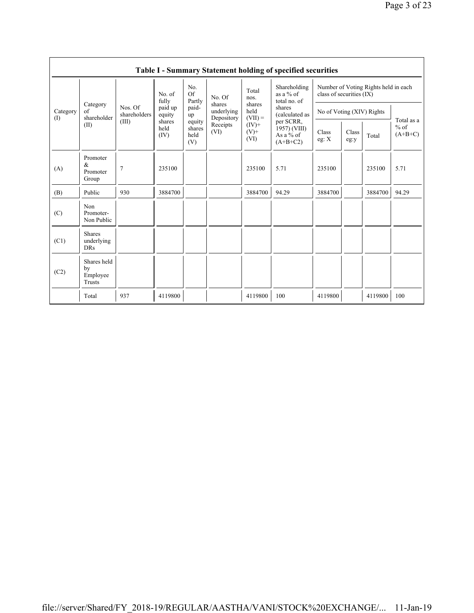|                 | Table I - Summary Statement holding of specified securities |                                  |                        |                                 |                                    |                                                           |                                                      |                                                                  |               |         |                                   |  |  |
|-----------------|-------------------------------------------------------------|----------------------------------|------------------------|---------------------------------|------------------------------------|-----------------------------------------------------------|------------------------------------------------------|------------------------------------------------------------------|---------------|---------|-----------------------------------|--|--|
| Category<br>(1) |                                                             | Nos. Of<br>shareholders<br>(III) | No. of<br>fully        | No.<br>Of<br>Partly             | No. Of                             | Total<br>nos.                                             | Shareholding<br>as a % of<br>total no. of            | Number of Voting Rights held in each<br>class of securities (IX) |               |         |                                   |  |  |
|                 | Category<br>of<br>shareholder                               |                                  | paid up<br>equity      | paid-<br>up                     | shares<br>underlying<br>Depository | shares<br>held<br>$(VII) =$<br>$(IV)+$<br>$(V)$ +<br>(VI) | shares<br>(calculated as                             | No of Voting (XIV) Rights                                        |               |         |                                   |  |  |
|                 | (II)                                                        |                                  | shares<br>held<br>(IV) | equity<br>shares<br>held<br>(V) | Receipts<br>(VI)                   |                                                           | per SCRR,<br>1957) (VIII)<br>As a % of<br>$(A+B+C2)$ | Class<br>eg: $X$                                                 | Class<br>eg:y | Total   | Total as a<br>$%$ of<br>$(A+B+C)$ |  |  |
| (A)             | Promoter<br>&<br>Promoter<br>Group                          | $\overline{7}$                   | 235100                 |                                 |                                    | 235100                                                    | 5.71                                                 | 235100                                                           |               | 235100  | 5.71                              |  |  |
| (B)             | Public                                                      | 930                              | 3884700                |                                 |                                    | 3884700                                                   | 94.29                                                | 3884700                                                          |               | 3884700 | 94.29                             |  |  |
| (C)             | Non<br>Promoter-<br>Non Public                              |                                  |                        |                                 |                                    |                                                           |                                                      |                                                                  |               |         |                                   |  |  |
| (C1)            | <b>Shares</b><br>underlying<br><b>DRs</b>                   |                                  |                        |                                 |                                    |                                                           |                                                      |                                                                  |               |         |                                   |  |  |
| (C2)            | Shares held<br>by<br>Employee<br>Trusts                     |                                  |                        |                                 |                                    |                                                           |                                                      |                                                                  |               |         |                                   |  |  |
|                 | Total                                                       | 937                              | 4119800                |                                 |                                    | 4119800                                                   | 100                                                  | 4119800                                                          |               | 4119800 | 100                               |  |  |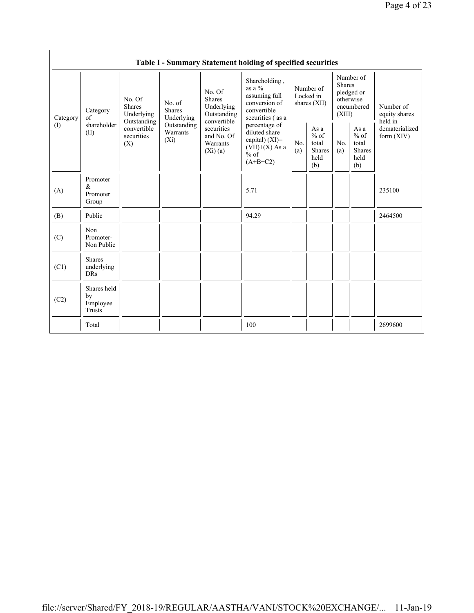|                   |                                           |                                                                                                     |                                       |                                                                                                                        | Table I - Summary Statement holding of specified securities                                     |            |                                                         |                         |                                                         |                                       |
|-------------------|-------------------------------------------|-----------------------------------------------------------------------------------------------------|---------------------------------------|------------------------------------------------------------------------------------------------------------------------|-------------------------------------------------------------------------------------------------|------------|---------------------------------------------------------|-------------------------|---------------------------------------------------------|---------------------------------------|
| Category<br>$($ I | Category<br>of<br>shareholder<br>(II)     | No. Of<br><b>Shares</b><br>Underlying<br>Outstanding<br>convertible<br>securities<br>$(X_i)$<br>(X) | No. of<br><b>Shares</b><br>Underlying | No. Of<br><b>Shares</b><br>Underlying<br>Outstanding<br>convertible<br>securities<br>and No. Of<br>Warrants<br>(Xi)(a) | Shareholding,<br>as a $\%$<br>assuming full<br>conversion of<br>convertible<br>securities (as a |            | Number of<br>Locked in<br>shares (XII)                  | <b>Shares</b><br>(XIII) | Number of<br>pledged or<br>otherwise<br>encumbered      | Number of<br>equity shares<br>held in |
|                   |                                           |                                                                                                     | Outstanding<br>Warrants               |                                                                                                                        | percentage of<br>diluted share<br>capital) (XI)=<br>$(VII)+(X)$ As a<br>$%$ of<br>$(A+B+C2)$    | No.<br>(a) | As a<br>$%$ of<br>total<br><b>Shares</b><br>held<br>(b) | No.<br>(a)              | As a<br>$%$ of<br>total<br><b>Shares</b><br>held<br>(b) | dematerialized<br>form $(XIV)$        |
| (A)               | Promoter<br>$\alpha$<br>Promoter<br>Group |                                                                                                     |                                       |                                                                                                                        | 5.71                                                                                            |            |                                                         |                         |                                                         | 235100                                |
| (B)               | Public                                    |                                                                                                     |                                       |                                                                                                                        | 94.29                                                                                           |            |                                                         |                         |                                                         | 2464500                               |
| (C)               | Non<br>Promoter-<br>Non Public            |                                                                                                     |                                       |                                                                                                                        |                                                                                                 |            |                                                         |                         |                                                         |                                       |
| (C1)              | <b>Shares</b><br>underlying<br><b>DRs</b> |                                                                                                     |                                       |                                                                                                                        |                                                                                                 |            |                                                         |                         |                                                         |                                       |
| (C2)              | Shares held<br>by<br>Employee<br>Trusts   |                                                                                                     |                                       |                                                                                                                        |                                                                                                 |            |                                                         |                         |                                                         |                                       |
|                   | Total                                     |                                                                                                     |                                       |                                                                                                                        | 100                                                                                             |            |                                                         |                         |                                                         | 2699600                               |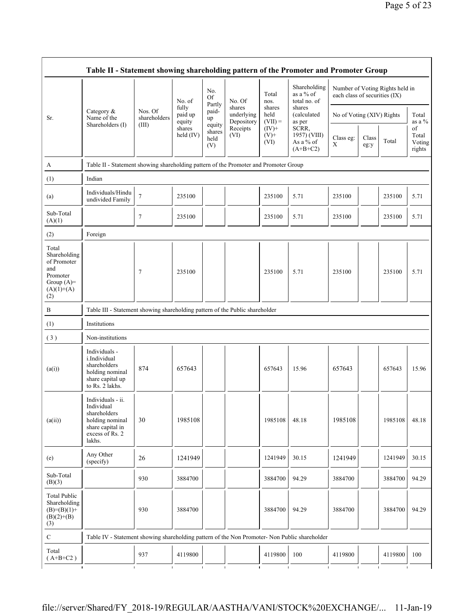|                                                                                                | Table II - Statement showing shareholding pattern of the Promoter and Promoter Group                                |                         |                            |                                 |                                    |                             |                                                  |                                                                  |               |         |                                 |  |  |
|------------------------------------------------------------------------------------------------|---------------------------------------------------------------------------------------------------------------------|-------------------------|----------------------------|---------------------------------|------------------------------------|-----------------------------|--------------------------------------------------|------------------------------------------------------------------|---------------|---------|---------------------------------|--|--|
|                                                                                                |                                                                                                                     |                         | No. of                     | No.<br>Of<br>Partly             | No. Of                             | Total<br>nos.               | Shareholding<br>as a % of<br>total no. of        | Number of Voting Rights held in<br>each class of securities (IX) |               |         |                                 |  |  |
| Sr.                                                                                            | Category $\&$<br>Name of the                                                                                        | Nos. Of<br>shareholders | fully<br>paid up<br>equity | paid-<br>up                     | shares<br>underlying<br>Depository | shares<br>held<br>$(VII) =$ | shares<br>(calculated<br>as per                  | No of Voting (XIV) Rights                                        |               |         | Total<br>as a %                 |  |  |
|                                                                                                | Shareholders (I)                                                                                                    | (III)                   | shares<br>held (IV)        | equity<br>shares<br>held<br>(V) | Receipts<br>(VI)                   | $(IV)+$<br>$(V)$ +<br>(VI)  | SCRR,<br>1957) (VIII)<br>As a % of<br>$(A+B+C2)$ | Class eg:<br>$\mathbf X$                                         | Class<br>eg:y | Total   | of<br>Total<br>Voting<br>rights |  |  |
| A                                                                                              | Table II - Statement showing shareholding pattern of the Promoter and Promoter Group                                |                         |                            |                                 |                                    |                             |                                                  |                                                                  |               |         |                                 |  |  |
| (1)                                                                                            | Indian                                                                                                              |                         |                            |                                 |                                    |                             |                                                  |                                                                  |               |         |                                 |  |  |
| (a)                                                                                            | Individuals/Hindu<br>undivided Family                                                                               | $\tau$                  | 235100                     |                                 |                                    | 235100                      | 5.71                                             | 235100                                                           |               | 235100  | 5.71                            |  |  |
| Sub-Total<br>(A)(1)                                                                            |                                                                                                                     | 7                       | 235100                     |                                 |                                    | 235100                      | 5.71                                             | 235100                                                           |               | 235100  | 5.71                            |  |  |
| (2)                                                                                            | Foreign                                                                                                             |                         |                            |                                 |                                    |                             |                                                  |                                                                  |               |         |                                 |  |  |
| Total<br>Shareholding<br>of Promoter<br>and<br>Promoter<br>Group $(A)=$<br>$(A)(1)+(A)$<br>(2) |                                                                                                                     | 7                       | 235100                     |                                 |                                    | 235100                      | 5.71                                             | 235100                                                           |               | 235100  | 5.71                            |  |  |
| $\, {\bf B}$                                                                                   | Table III - Statement showing shareholding pattern of the Public shareholder                                        |                         |                            |                                 |                                    |                             |                                                  |                                                                  |               |         |                                 |  |  |
| (1)                                                                                            | Institutions                                                                                                        |                         |                            |                                 |                                    |                             |                                                  |                                                                  |               |         |                                 |  |  |
| (3)                                                                                            | Non-institutions                                                                                                    |                         |                            |                                 |                                    |                             |                                                  |                                                                  |               |         |                                 |  |  |
| (a(i))                                                                                         | Individuals -<br>i.Individual<br>shareholders<br>holding nominal<br>share capital up<br>to Rs. 2 lakhs.             | 874                     | 657643                     |                                 |                                    | 657643                      | 15.96                                            | 657643                                                           |               | 657643  | 15.96                           |  |  |
| (a(ii))                                                                                        | Individuals - ii.<br>Individual<br>shareholders<br>holding nominal<br>share capital in<br>excess of Rs. 2<br>lakhs. | 30                      | 1985108                    |                                 |                                    | 1985108                     | 48.18                                            | 1985108                                                          |               | 1985108 | 48.18                           |  |  |
| (e)                                                                                            | Any Other<br>(specify)                                                                                              | 26                      | 1241949                    |                                 |                                    | 1241949                     | 30.15                                            | 1241949                                                          |               | 1241949 | 30.15                           |  |  |
| Sub-Total<br>(B)(3)                                                                            |                                                                                                                     | 930                     | 3884700                    |                                 |                                    | 3884700                     | 94.29                                            | 3884700                                                          |               | 3884700 | 94.29                           |  |  |
| <b>Total Public</b><br>Shareholding<br>$(B)= (B)(1) +$<br>$(B)(2)+(B)$<br>(3)                  |                                                                                                                     | 930                     | 3884700                    |                                 |                                    | 3884700                     | 94.29                                            | 3884700                                                          |               | 3884700 | 94.29                           |  |  |
| ${\bf C}$                                                                                      | Table IV - Statement showing shareholding pattern of the Non Promoter- Non Public shareholder                       |                         |                            |                                 |                                    |                             |                                                  |                                                                  |               |         |                                 |  |  |
| Total<br>$(A+B+C2)$                                                                            |                                                                                                                     | 937                     | 4119800                    |                                 |                                    | 4119800                     | 100                                              | 4119800                                                          |               | 4119800 | 100                             |  |  |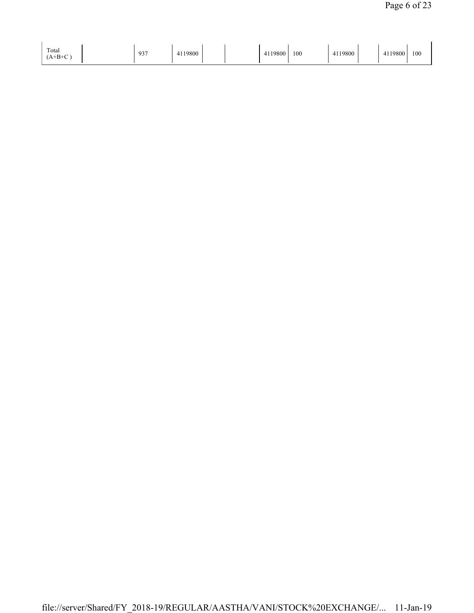| Total<br>$A+{\bf p}+C$ | 02 <sup>7</sup> | 119800<br>T11 |  |  | 10000<br><b>9800</b><br>∸ | 100 | 4119800 |  | 4119800<br>$\leftarrow$<br>T 1 1 | 100 |
|------------------------|-----------------|---------------|--|--|---------------------------|-----|---------|--|----------------------------------|-----|
|------------------------|-----------------|---------------|--|--|---------------------------|-----|---------|--|----------------------------------|-----|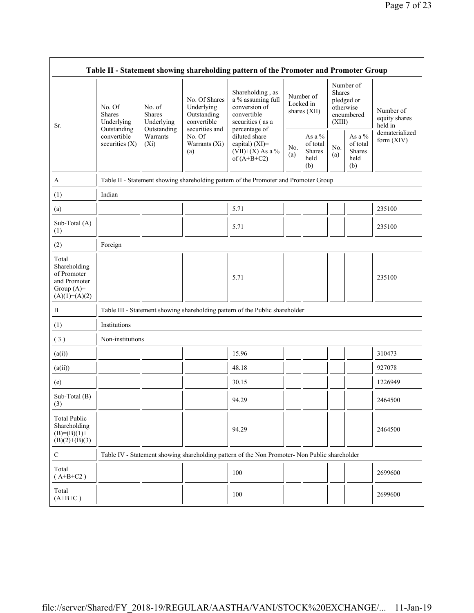| Table II - Statement showing shareholding pattern of the Promoter and Promoter Group    |                                                                                  |                                                                                      |                                                           |                                                                                               |            |                                                       |                         |                                                       |                                                         |  |  |
|-----------------------------------------------------------------------------------------|----------------------------------------------------------------------------------|--------------------------------------------------------------------------------------|-----------------------------------------------------------|-----------------------------------------------------------------------------------------------|------------|-------------------------------------------------------|-------------------------|-------------------------------------------------------|---------------------------------------------------------|--|--|
| Sr.                                                                                     | No. Of<br>Shares<br>Underlying<br>Outstanding<br>convertible<br>securities $(X)$ | No. of<br><b>Shares</b><br>Underlying                                                | No. Of Shares<br>Underlying<br>Outstanding<br>convertible | Shareholding, as<br>a % assuming full<br>conversion of<br>convertible<br>securities (as a     |            | Number of<br>Locked in<br>shares (XII)                | <b>Shares</b><br>(XIII) | Number of<br>pledged or<br>otherwise<br>encumbered    | Number of<br>equity shares<br>held in<br>dematerialized |  |  |
|                                                                                         |                                                                                  | Outstanding<br>Warrants<br>$(X_i)$                                                   | securities and<br>No. Of<br>Warrants (Xi)<br>(a)          | percentage of<br>diluted share<br>capital) $(XI)$ =<br>$(VII)+(X)$ As a %<br>of $(A+B+C2)$    | No.<br>(a) | As a $\%$<br>of total<br><b>Shares</b><br>held<br>(b) | No.<br>(a)              | As a $\%$<br>of total<br><b>Shares</b><br>held<br>(b) | form (XIV)                                              |  |  |
| A                                                                                       |                                                                                  | Table II - Statement showing shareholding pattern of the Promoter and Promoter Group |                                                           |                                                                                               |            |                                                       |                         |                                                       |                                                         |  |  |
| (1)                                                                                     | Indian                                                                           |                                                                                      |                                                           |                                                                                               |            |                                                       |                         |                                                       |                                                         |  |  |
| (a)                                                                                     |                                                                                  |                                                                                      |                                                           | 5.71                                                                                          |            |                                                       |                         |                                                       | 235100                                                  |  |  |
| Sub-Total (A)<br>(1)                                                                    |                                                                                  |                                                                                      |                                                           | 5.71                                                                                          |            |                                                       |                         |                                                       | 235100                                                  |  |  |
| (2)                                                                                     | Foreign                                                                          |                                                                                      |                                                           |                                                                                               |            |                                                       |                         |                                                       |                                                         |  |  |
| Total<br>Shareholding<br>of Promoter<br>and Promoter<br>Group $(A)=$<br>$(A)(1)+(A)(2)$ |                                                                                  |                                                                                      |                                                           | 5.71                                                                                          |            |                                                       |                         |                                                       | 235100                                                  |  |  |
| B                                                                                       |                                                                                  |                                                                                      |                                                           | Table III - Statement showing shareholding pattern of the Public shareholder                  |            |                                                       |                         |                                                       |                                                         |  |  |
| (1)                                                                                     | Institutions                                                                     |                                                                                      |                                                           |                                                                                               |            |                                                       |                         |                                                       |                                                         |  |  |
| (3)                                                                                     | Non-institutions                                                                 |                                                                                      |                                                           |                                                                                               |            |                                                       |                         |                                                       |                                                         |  |  |
| (a(i))                                                                                  |                                                                                  |                                                                                      |                                                           | 15.96                                                                                         |            |                                                       |                         |                                                       | 310473                                                  |  |  |
| (a(ii))                                                                                 |                                                                                  |                                                                                      |                                                           | 48.18                                                                                         |            |                                                       |                         |                                                       | 927078                                                  |  |  |
| (e)                                                                                     |                                                                                  |                                                                                      |                                                           | 30.15                                                                                         |            |                                                       |                         |                                                       | 1226949                                                 |  |  |
| Sub-Total (B)<br>(3)                                                                    |                                                                                  |                                                                                      |                                                           | 94.29                                                                                         |            |                                                       |                         |                                                       | 2464500                                                 |  |  |
| <b>Total Public</b><br>Shareholding<br>$(B)= (B)(1) +$<br>$(B)(2)+(B)(3)$               |                                                                                  |                                                                                      |                                                           | 94.29                                                                                         |            |                                                       |                         |                                                       | 2464500                                                 |  |  |
| $\mathbf C$                                                                             |                                                                                  |                                                                                      |                                                           | Table IV - Statement showing shareholding pattern of the Non Promoter- Non Public shareholder |            |                                                       |                         |                                                       |                                                         |  |  |
| Total<br>$(A+B+C2)$                                                                     |                                                                                  |                                                                                      |                                                           | 100                                                                                           |            |                                                       |                         |                                                       | 2699600                                                 |  |  |
| Total<br>$(A+B+C)$                                                                      |                                                                                  |                                                                                      |                                                           | 100                                                                                           |            |                                                       |                         |                                                       | 2699600                                                 |  |  |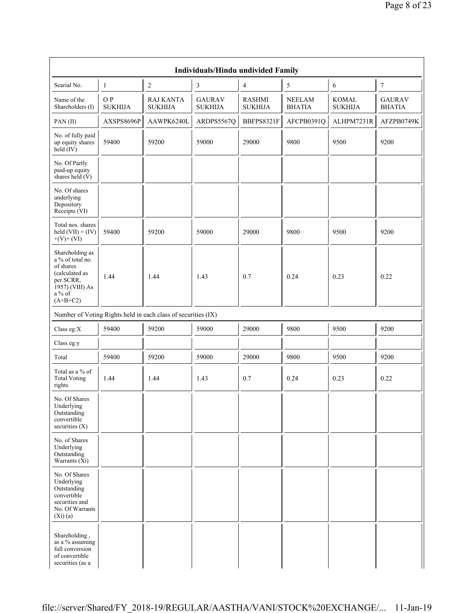|                                                                                                                            |                       |                                                               | Individuals/Hindu undivided Family |                                 |                                |                                |                                |
|----------------------------------------------------------------------------------------------------------------------------|-----------------------|---------------------------------------------------------------|------------------------------------|---------------------------------|--------------------------------|--------------------------------|--------------------------------|
| Searial No.                                                                                                                | $\mathbf{1}$          | $\overline{c}$                                                | 3                                  | 4                               | 5                              | 6                              | $\boldsymbol{7}$               |
| Name of the<br>Shareholders (I)                                                                                            | O P<br><b>SUKHIJA</b> | <b>RAJ KANTA</b><br><b>SUKHIJA</b>                            | <b>GAURAV</b><br><b>SUKHIJA</b>    | <b>RASHMI</b><br><b>SUKHIJA</b> | <b>NEELAM</b><br><b>BHATIA</b> | <b>KOMAL</b><br><b>SUKHIJA</b> | <b>GAURAV</b><br><b>BHATIA</b> |
| PAN(II)                                                                                                                    | AXSPS8696P            | AAWPK6240L                                                    | ARDPS5567Q                         | BBFPS8321F                      | AFCPB0391Q                     | ALHPM7231R                     | AFZPB0749K                     |
| No. of fully paid<br>up equity shares<br>held $(IV)$                                                                       | 59400                 | 59200                                                         | 59000                              | 29000                           | 9800                           | 9500                           | 9200                           |
| No. Of Partly<br>paid-up equity<br>shares held $(V)$                                                                       |                       |                                                               |                                    |                                 |                                |                                |                                |
| No. Of shares<br>underlying<br>Depository<br>Receipts (VI)                                                                 |                       |                                                               |                                    |                                 |                                |                                |                                |
| Total nos. shares<br>held $(VII) = (IV)$<br>$+(V)+(VI)$                                                                    | 59400                 | 59200                                                         | 59000                              | 29000                           | 9800                           | 9500                           | 9200                           |
| Shareholding as<br>a % of total no.<br>of shares<br>(calculated as<br>per SCRR,<br>1957) (VIII) As<br>a % of<br>$(A+B+C2)$ | 1.44                  | 1.44                                                          | 1.43                               | 0.7                             | 0.24                           | 0.23                           | 0.22                           |
|                                                                                                                            |                       | Number of Voting Rights held in each class of securities (IX) |                                    |                                 |                                |                                |                                |
| Class eg:X                                                                                                                 | 59400                 | 59200                                                         | 59000                              | 29000                           | 9800                           | 9500                           | 9200                           |
| Class eg:y                                                                                                                 |                       |                                                               |                                    |                                 |                                |                                |                                |
| Total                                                                                                                      | 59400                 | 59200                                                         | 59000                              | 29000                           | 9800                           | 9500                           | 9200                           |
| Total as a % of<br><b>Total Voting</b><br>rights                                                                           | 1.44                  | 1.44                                                          | 1.43                               | 0.7                             | 0.24                           | 0.23                           | 0.22                           |
| No. Of Shares<br>Underlying<br>Outstanding<br>convertible<br>securities (X)                                                |                       |                                                               |                                    |                                 |                                |                                |                                |
| No. of Shares<br>Underlying<br>Outstanding<br>Warrants $(X_i)$                                                             |                       |                                                               |                                    |                                 |                                |                                |                                |
| No. Of Shares<br>Underlying<br>Outstanding<br>convertible<br>securities and<br>No. Of Warrants<br>$(X_i)(a)$               |                       |                                                               |                                    |                                 |                                |                                |                                |
| Shareholding,<br>as a % assuming<br>full conversion<br>of convertible<br>securities (as a                                  |                       |                                                               |                                    |                                 |                                |                                |                                |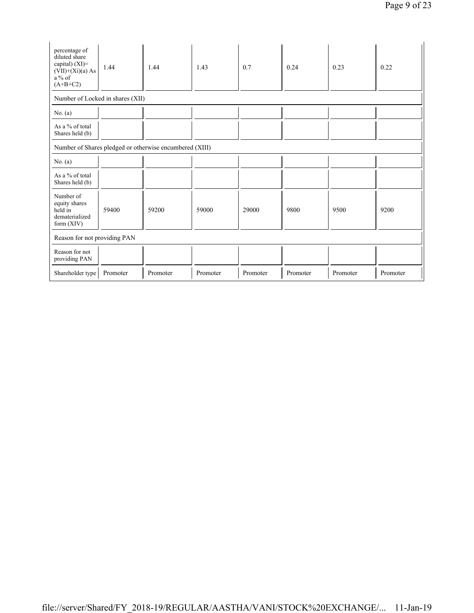| percentage of<br>diluted share<br>capital) $(XI)$ =<br>$(VII)+(Xi)(a) As$<br>$a\%$ of<br>$(A+B+C2)$ | 1.44     | 1.44     | 1.43     | 0.7      | 0.24     | 0.23     | 0.22     |  |  |  |  |
|-----------------------------------------------------------------------------------------------------|----------|----------|----------|----------|----------|----------|----------|--|--|--|--|
| Number of Locked in shares (XII)                                                                    |          |          |          |          |          |          |          |  |  |  |  |
| No. (a)                                                                                             |          |          |          |          |          |          |          |  |  |  |  |
| As a % of total<br>Shares held (b)                                                                  |          |          |          |          |          |          |          |  |  |  |  |
| Number of Shares pledged or otherwise encumbered (XIII)                                             |          |          |          |          |          |          |          |  |  |  |  |
| No. $(a)$                                                                                           |          |          |          |          |          |          |          |  |  |  |  |
| As a % of total<br>Shares held (b)                                                                  |          |          |          |          |          |          |          |  |  |  |  |
| Number of<br>equity shares<br>held in<br>dematerialized<br>form $(XIV)$                             | 59400    | 59200    | 59000    | 29000    | 9800     | 9500     | 9200     |  |  |  |  |
| Reason for not providing PAN                                                                        |          |          |          |          |          |          |          |  |  |  |  |
| Reason for not<br>providing PAN                                                                     |          |          |          |          |          |          |          |  |  |  |  |
| Shareholder type                                                                                    | Promoter | Promoter | Promoter | Promoter | Promoter | Promoter | Promoter |  |  |  |  |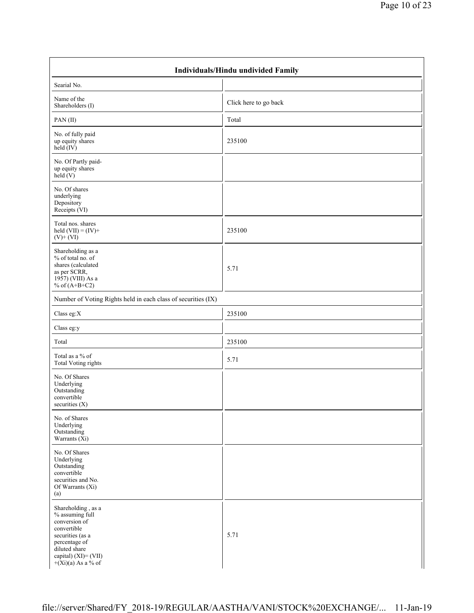|                                                                                                                                                                             | Individuals/Hindu undivided Family |  |  |  |  |  |  |  |
|-----------------------------------------------------------------------------------------------------------------------------------------------------------------------------|------------------------------------|--|--|--|--|--|--|--|
| Searial No.                                                                                                                                                                 |                                    |  |  |  |  |  |  |  |
| Name of the<br>Shareholders (I)                                                                                                                                             | Click here to go back              |  |  |  |  |  |  |  |
| PAN(II)                                                                                                                                                                     | Total                              |  |  |  |  |  |  |  |
| No. of fully paid<br>up equity shares<br>held $(IV)$                                                                                                                        | 235100                             |  |  |  |  |  |  |  |
| No. Of Partly paid-<br>up equity shares<br>$\text{held}(V)$                                                                                                                 |                                    |  |  |  |  |  |  |  |
| No. Of shares<br>underlying<br>Depository<br>Receipts (VI)                                                                                                                  |                                    |  |  |  |  |  |  |  |
| Total nos. shares<br>held $(VII) = (IV) +$<br>$(V)$ + $(VI)$                                                                                                                | 235100                             |  |  |  |  |  |  |  |
| Shareholding as a<br>% of total no. of<br>shares (calculated<br>as per SCRR,<br>1957) (VIII) As a<br>% of $(A+B+C2)$                                                        | 5.71                               |  |  |  |  |  |  |  |
| Number of Voting Rights held in each class of securities (IX)                                                                                                               |                                    |  |  |  |  |  |  |  |
| Class eg:X                                                                                                                                                                  | 235100                             |  |  |  |  |  |  |  |
| Class eg:y                                                                                                                                                                  |                                    |  |  |  |  |  |  |  |
| Total                                                                                                                                                                       | 235100                             |  |  |  |  |  |  |  |
| Total as a % of<br><b>Total Voting rights</b>                                                                                                                               | 5.71                               |  |  |  |  |  |  |  |
| No. Of Shares<br>Underlying<br>Outstanding<br>convertible<br>securities (X)                                                                                                 |                                    |  |  |  |  |  |  |  |
| No. of Shares<br>Underlying<br>Outstanding<br>Warrants (Xi)                                                                                                                 |                                    |  |  |  |  |  |  |  |
| No. Of Shares<br>Underlying<br>Outstanding<br>convertible<br>securities and No.<br>Of Warrants (Xi)<br>(a)                                                                  |                                    |  |  |  |  |  |  |  |
| Shareholding, as a<br>% assuming full<br>conversion of<br>convertible<br>securities (as a<br>percentage of<br>diluted share<br>capital) (XI)= (VII)<br>$+(Xi)(a)$ As a % of | 5.71                               |  |  |  |  |  |  |  |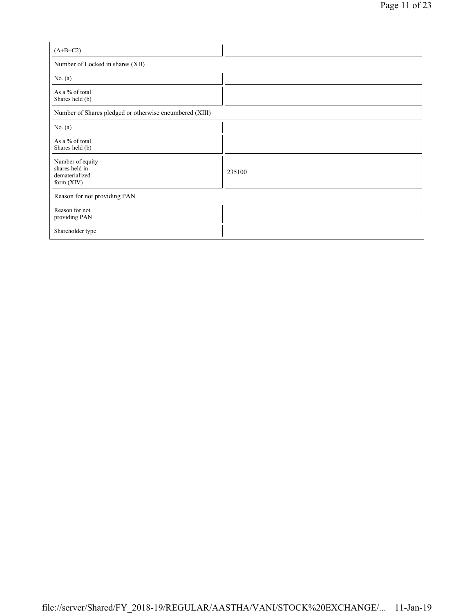| $(A+B+C2)$                                                           |        |
|----------------------------------------------------------------------|--------|
| Number of Locked in shares (XII)                                     |        |
| No. $(a)$                                                            |        |
| As a % of total<br>Shares held (b)                                   |        |
| Number of Shares pledged or otherwise encumbered (XIII)              |        |
| No. $(a)$                                                            |        |
| As a % of total<br>Shares held (b)                                   |        |
| Number of equity<br>shares held in<br>dematerialized<br>form $(XIV)$ | 235100 |
| Reason for not providing PAN                                         |        |
| Reason for not<br>providing PAN                                      |        |
| Shareholder type                                                     |        |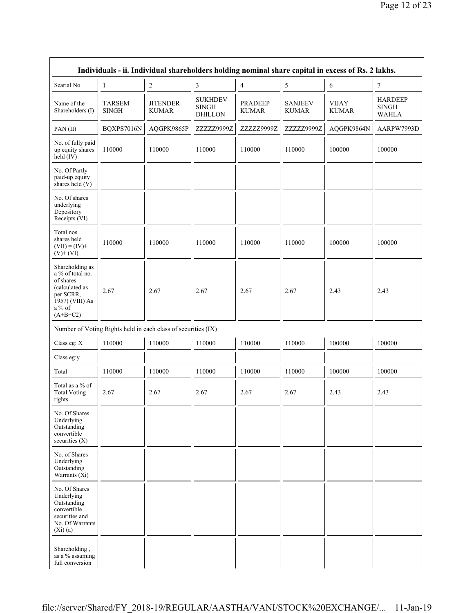|                                                                                                                               | Individuals - ii. Individual shareholders holding nominal share capital in excess of Rs. 2 lakhs. |                                                               |                                                  |                                |                                |                              |                                                |  |  |  |  |  |
|-------------------------------------------------------------------------------------------------------------------------------|---------------------------------------------------------------------------------------------------|---------------------------------------------------------------|--------------------------------------------------|--------------------------------|--------------------------------|------------------------------|------------------------------------------------|--|--|--|--|--|
| Searial No.                                                                                                                   | $\mathbf{1}$                                                                                      | $\overline{2}$                                                | 3                                                | $\overline{4}$                 | 5                              | 6                            | $\tau$                                         |  |  |  |  |  |
| Name of the<br>Shareholders (I)                                                                                               | <b>TARSEM</b><br><b>SINGH</b>                                                                     | <b>JITENDER</b><br><b>KUMAR</b>                               | <b>SUKHDEV</b><br><b>SINGH</b><br><b>DHILLON</b> | <b>PRADEEP</b><br><b>KUMAR</b> | <b>SANJEEV</b><br><b>KUMAR</b> | <b>VIJAY</b><br><b>KUMAR</b> | <b>HARDEEP</b><br><b>SINGH</b><br><b>WAHLA</b> |  |  |  |  |  |
| PAN(II)                                                                                                                       | BQXPS7016N                                                                                        | AQGPK9865P                                                    | ZZZZZ9999Z                                       | ZZZZZ9999Z                     | ZZZZZ9999Z                     | AQGPK9864N                   | AARPW7993D                                     |  |  |  |  |  |
| No. of fully paid<br>up equity shares<br>held (IV)                                                                            | 110000                                                                                            | 110000                                                        | 110000                                           | 110000                         | 110000                         | 100000                       | 100000                                         |  |  |  |  |  |
| No. Of Partly<br>paid-up equity<br>shares held (V)                                                                            |                                                                                                   |                                                               |                                                  |                                |                                |                              |                                                |  |  |  |  |  |
| No. Of shares<br>underlying<br>Depository<br>Receipts (VI)                                                                    |                                                                                                   |                                                               |                                                  |                                |                                |                              |                                                |  |  |  |  |  |
| Total nos.<br>shares held<br>$(VII) = (IV) +$<br>$(V)$ + $(VI)$                                                               | 110000                                                                                            | 110000                                                        | 110000                                           | 110000                         | 110000                         | 100000                       | 100000                                         |  |  |  |  |  |
| Shareholding as<br>a % of total no.<br>of shares<br>(calculated as<br>per SCRR,<br>1957) (VIII) As<br>a $\%$ of<br>$(A+B+C2)$ | 2.67                                                                                              | 2.67                                                          | 2.67                                             | 2.67                           | 2.67                           | 2.43                         | 2.43                                           |  |  |  |  |  |
|                                                                                                                               |                                                                                                   | Number of Voting Rights held in each class of securities (IX) |                                                  |                                |                                |                              |                                                |  |  |  |  |  |
| Class eg: X                                                                                                                   | 110000                                                                                            | 110000                                                        | 110000                                           | 110000                         | 110000                         | 100000                       | 100000                                         |  |  |  |  |  |
| Class eg:y                                                                                                                    |                                                                                                   |                                                               |                                                  |                                |                                |                              |                                                |  |  |  |  |  |
| Total                                                                                                                         | 110000                                                                                            | 110000                                                        | 110000                                           | 110000                         | 110000                         | 100000                       | 100000                                         |  |  |  |  |  |
| Total as a $\%$ of<br><b>Total Voting</b><br>rights                                                                           | 2.67                                                                                              | 2.67                                                          | 2.67                                             | 2.67                           | 2.67                           | 2.43                         | 2.43                                           |  |  |  |  |  |
| No. Of Shares<br>Underlying<br>Outstanding<br>convertible<br>securities $(X)$                                                 |                                                                                                   |                                                               |                                                  |                                |                                |                              |                                                |  |  |  |  |  |
| No. of Shares<br>Underlying<br>Outstanding<br>Warrants (Xi)                                                                   |                                                                                                   |                                                               |                                                  |                                |                                |                              |                                                |  |  |  |  |  |
| No. Of Shares<br>Underlying<br>Outstanding<br>convertible<br>securities and<br>No. Of Warrants<br>(Xi)(a)                     |                                                                                                   |                                                               |                                                  |                                |                                |                              |                                                |  |  |  |  |  |
| Shareholding,<br>as a % assuming<br>full conversion                                                                           |                                                                                                   |                                                               |                                                  |                                |                                |                              |                                                |  |  |  |  |  |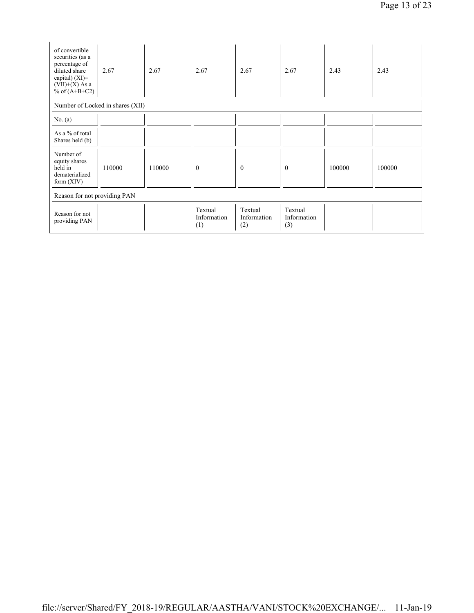| of convertible<br>securities (as a<br>percentage of<br>diluted share<br>capital) $(XI)=$<br>$(VII)+(X)$ As a<br>% of $(A+B+C2)$ | 2.67                             | 2.67   | 2.67                          | 2.67                          | 2.67                          | 2.43   | 2.43   |
|---------------------------------------------------------------------------------------------------------------------------------|----------------------------------|--------|-------------------------------|-------------------------------|-------------------------------|--------|--------|
|                                                                                                                                 | Number of Locked in shares (XII) |        |                               |                               |                               |        |        |
| No. $(a)$                                                                                                                       |                                  |        |                               |                               |                               |        |        |
| As a % of total<br>Shares held (b)                                                                                              |                                  |        |                               |                               |                               |        |        |
| Number of<br>equity shares<br>held in<br>dematerialized<br>form $(XIV)$                                                         | 110000                           | 110000 | $\mathbf{0}$                  | $\mathbf{0}$                  | $\mathbf{0}$                  | 100000 | 100000 |
| Reason for not providing PAN                                                                                                    |                                  |        |                               |                               |                               |        |        |
| Reason for not<br>providing PAN                                                                                                 |                                  |        | Textual<br>Information<br>(1) | Textual<br>Information<br>(2) | Textual<br>Information<br>(3) |        |        |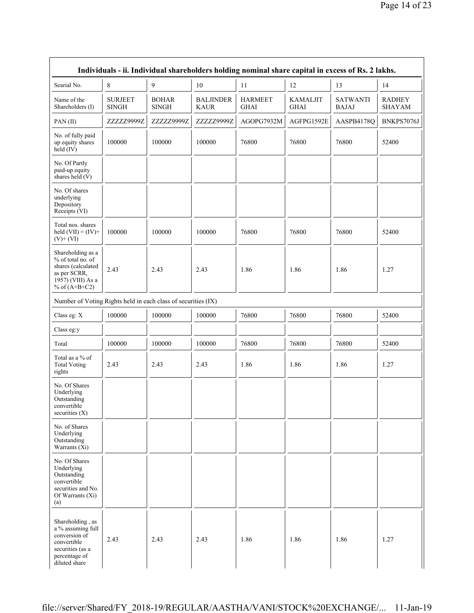| Individuals - ii. Individual shareholders holding nominal share capital in excess of Rs. 2 lakhs.                           |                                |                              |                                 |                               |                                |                                 |                                |  |
|-----------------------------------------------------------------------------------------------------------------------------|--------------------------------|------------------------------|---------------------------------|-------------------------------|--------------------------------|---------------------------------|--------------------------------|--|
| Searial No.                                                                                                                 | 8                              | 9                            | 10                              | 11                            | 12                             | 13                              | 14                             |  |
| Name of the<br>Shareholders (I)                                                                                             | <b>SURJEET</b><br><b>SINGH</b> | <b>BOHAR</b><br><b>SINGH</b> | <b>BALJINDER</b><br><b>KAUR</b> | <b>HARMEET</b><br><b>GHAI</b> | <b>KAMALJIT</b><br><b>GHAI</b> | <b>SATWANTI</b><br><b>BAJAJ</b> | <b>RADHEY</b><br><b>SHAYAM</b> |  |
| PAN(II)                                                                                                                     | ZZZZZ9999Z                     | ZZZZZ9999Z                   | ZZZZZ9999Z                      | AGOPG7932M                    | AGFPG1592E                     | AASPB4178Q                      | BNKPS7076J                     |  |
| No. of fully paid<br>up equity shares<br>held (IV)                                                                          | 100000                         | 100000                       | 100000                          | 76800                         | 76800                          | 76800                           | 52400                          |  |
| No. Of Partly<br>paid-up equity<br>shares held (V)                                                                          |                                |                              |                                 |                               |                                |                                 |                                |  |
| No. Of shares<br>underlying<br>Depository<br>Receipts (VI)                                                                  |                                |                              |                                 |                               |                                |                                 |                                |  |
| Total nos. shares<br>held $(VII) = (IV) +$<br>$(V)$ + $(VI)$                                                                | 100000                         | 100000                       | 100000                          | 76800                         | 76800                          | 76800                           | 52400                          |  |
| Shareholding as a<br>% of total no. of<br>shares (calculated<br>as per SCRR,<br>1957) (VIII) As a<br>% of $(A+B+C2)$        | 2.43                           | 2.43                         | 2.43                            | 1.86                          | 1.86                           | 1.86                            | 1.27                           |  |
| Number of Voting Rights held in each class of securities (IX)                                                               |                                |                              |                                 |                               |                                |                                 |                                |  |
| Class eg: X                                                                                                                 | 100000                         | 100000                       | 100000                          | 76800                         | 76800                          | 76800                           | 52400                          |  |
| Class eg:y                                                                                                                  |                                |                              |                                 |                               |                                |                                 |                                |  |
| Total                                                                                                                       | 100000                         | 100000                       | 100000                          | 76800                         | 76800                          | 76800                           | 52400                          |  |
| Total as a % of<br><b>Total Voting</b><br>rights                                                                            | 2.43                           | 2.43                         | 2.43                            | 1.86                          | 1.86                           | 1.86                            | 1.27                           |  |
| No. Of Shares<br>Underlying<br>Outstanding<br>convertible<br>securities $(X)$                                               |                                |                              |                                 |                               |                                |                                 |                                |  |
| No. of Shares<br>Underlying<br>Outstanding<br>Warrants (Xi)                                                                 |                                |                              |                                 |                               |                                |                                 |                                |  |
| No. Of Shares<br>Underlying<br>Outstanding<br>convertible<br>securities and No.<br>Of Warrants (Xi)<br>(a)                  |                                |                              |                                 |                               |                                |                                 |                                |  |
| Shareholding, as<br>a % assuming full<br>conversion of<br>convertible<br>securities (as a<br>percentage of<br>diluted share | 2.43                           | 2.43                         | 2.43                            | 1.86                          | 1.86                           | 1.86                            | 1.27                           |  |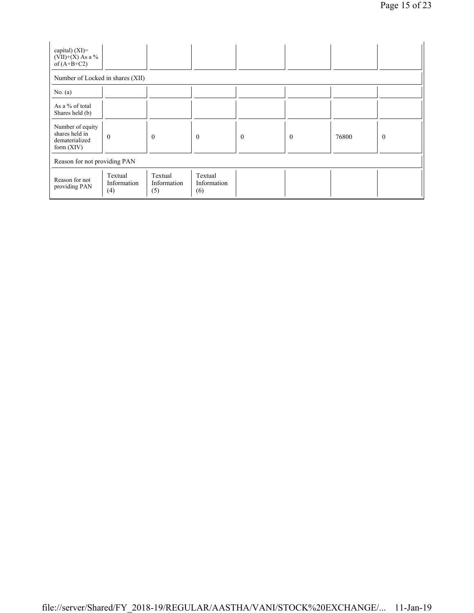| capital) $(XI)=$<br>$(VII)+(X)$ As a %<br>of $(A+B+C2)$              |                                            |                               |                               |              |              |       |          |  |
|----------------------------------------------------------------------|--------------------------------------------|-------------------------------|-------------------------------|--------------|--------------|-------|----------|--|
| Number of Locked in shares (XII)                                     |                                            |                               |                               |              |              |       |          |  |
| No. $(a)$                                                            |                                            |                               |                               |              |              |       |          |  |
| As a % of total<br>Shares held (b)                                   |                                            |                               |                               |              |              |       |          |  |
| Number of equity<br>shares held in<br>dematerialized<br>form $(XIV)$ | $\theta$                                   | $\mathbf{0}$                  | $\overline{0}$                | $\mathbf{0}$ | $\mathbf{0}$ | 76800 | $\theta$ |  |
| Reason for not providing PAN                                         |                                            |                               |                               |              |              |       |          |  |
| Reason for not<br>providing PAN                                      | Textual<br>Information<br>$\left(4\right)$ | Textual<br>Information<br>(5) | Textual<br>Information<br>(6) |              |              |       |          |  |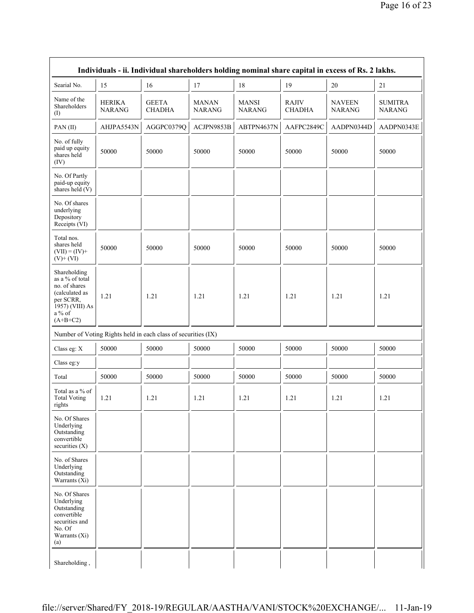| Individuals - ii. Individual shareholders holding nominal share capital in excess of Rs. 2 lakhs.                          |                                |                                                               |                        |                               |                               |                                |                                 |  |
|----------------------------------------------------------------------------------------------------------------------------|--------------------------------|---------------------------------------------------------------|------------------------|-------------------------------|-------------------------------|--------------------------------|---------------------------------|--|
| Searial No.                                                                                                                | 15                             | 16                                                            | 17                     | 18                            | 19                            | 20                             | 21                              |  |
| Name of the<br>Shareholders<br>(I)                                                                                         | <b>HERIKA</b><br><b>NARANG</b> | <b>GEETA</b><br><b>CHADHA</b>                                 | MANAN<br><b>NARANG</b> | <b>MANSI</b><br><b>NARANG</b> | <b>RAJIV</b><br><b>CHADHA</b> | <b>NAVEEN</b><br><b>NARANG</b> | <b>SUMITRA</b><br><b>NARANG</b> |  |
| PAN(II)                                                                                                                    | AHJPA5543N                     | AGGPC0379Q                                                    | ACJPN9853B             | ABTPN4637N                    | AAFPC2849C                    | AADPN0344D                     | AADPN0343E                      |  |
| No. of fully<br>paid up equity<br>shares held<br>(IV)                                                                      | 50000                          | 50000                                                         | 50000                  | 50000                         | 50000                         | 50000                          | 50000                           |  |
| No. Of Partly<br>paid-up equity<br>shares held (V)                                                                         |                                |                                                               |                        |                               |                               |                                |                                 |  |
| No. Of shares<br>underlying<br>Depository<br>Receipts (VI)                                                                 |                                |                                                               |                        |                               |                               |                                |                                 |  |
| Total nos.<br>shares held<br>$(VII) = (IV) +$<br>$(V)+(VI)$                                                                | 50000                          | 50000                                                         | 50000                  | 50000                         | 50000                         | 50000                          | 50000                           |  |
| Shareholding<br>as a % of total<br>no. of shares<br>(calculated as<br>per SCRR,<br>1957) (VIII) As<br>a % of<br>$(A+B+C2)$ | 1.21                           | 1.21                                                          | 1.21                   | 1.21                          | 1.21                          | 1.21                           | 1.21                            |  |
|                                                                                                                            |                                | Number of Voting Rights held in each class of securities (IX) |                        |                               |                               |                                |                                 |  |
| Class eg: X                                                                                                                | 50000                          | 50000                                                         | 50000                  | 50000                         | 50000                         | 50000                          | 50000                           |  |
| Class eg:y                                                                                                                 |                                |                                                               |                        |                               |                               |                                |                                 |  |
| Total                                                                                                                      | 50000                          | 50000                                                         | 50000                  | 50000                         | 50000                         | 50000                          | 50000                           |  |
| Total as a % of<br><b>Total Voting</b><br>rights                                                                           | 1.21                           | 1.21                                                          | 1.21                   | 1.21                          | 1.21                          | 1.21                           | 1.21                            |  |
| No. Of Shares<br>Underlying<br>Outstanding<br>convertible<br>securities $(X)$                                              |                                |                                                               |                        |                               |                               |                                |                                 |  |
| No. of Shares<br>Underlying<br>Outstanding<br>Warrants $(X_i)$                                                             |                                |                                                               |                        |                               |                               |                                |                                 |  |
| No. Of Shares<br>Underlying<br>Outstanding<br>convertible<br>securities and<br>No. Of<br>Warrants (Xi)<br>(a)              |                                |                                                               |                        |                               |                               |                                |                                 |  |
| Shareholding,                                                                                                              |                                |                                                               |                        |                               |                               |                                |                                 |  |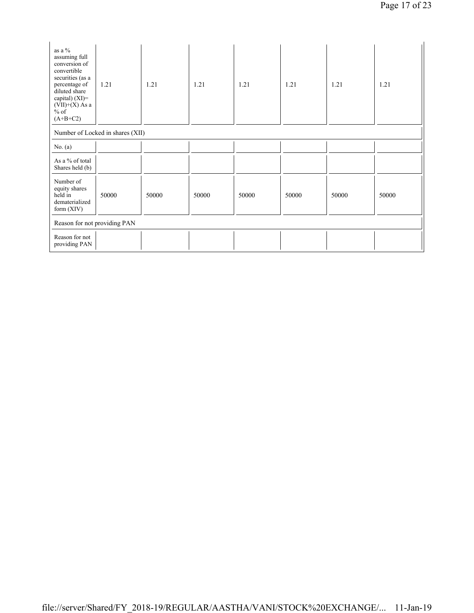| as a %<br>assuming full<br>conversion of<br>convertible<br>securities (as a<br>percentage of<br>diluted share<br>capital) $(XI)$ =<br>$(VII)+(X)$ As a<br>$%$ of<br>$(A+B+C2)$ | 1.21                             | 1.21  | 1.21  | 1.21  | 1.21  | 1.21  | 1.21  |
|--------------------------------------------------------------------------------------------------------------------------------------------------------------------------------|----------------------------------|-------|-------|-------|-------|-------|-------|
|                                                                                                                                                                                | Number of Locked in shares (XII) |       |       |       |       |       |       |
| No. $(a)$                                                                                                                                                                      |                                  |       |       |       |       |       |       |
| As a % of total<br>Shares held (b)                                                                                                                                             |                                  |       |       |       |       |       |       |
| Number of<br>equity shares<br>held in<br>dematerialized<br>form $(XIV)$                                                                                                        | 50000                            | 50000 | 50000 | 50000 | 50000 | 50000 | 50000 |
| Reason for not providing PAN                                                                                                                                                   |                                  |       |       |       |       |       |       |
| Reason for not<br>providing PAN                                                                                                                                                |                                  |       |       |       |       |       |       |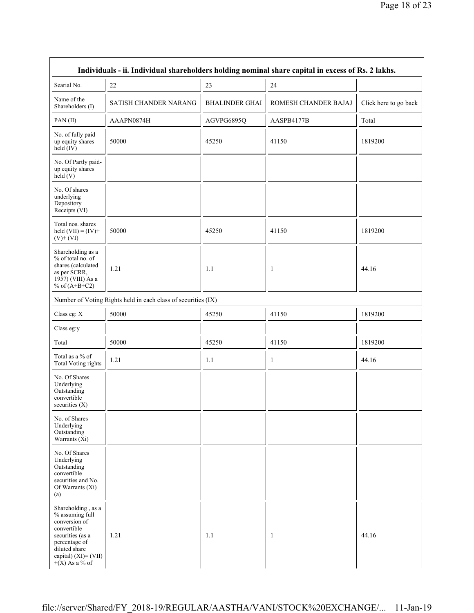| Individuals - ii. Individual shareholders holding nominal share capital in excess of Rs. 2 lakhs.                                                                       |                                                               |                       |                      |                       |  |  |  |
|-------------------------------------------------------------------------------------------------------------------------------------------------------------------------|---------------------------------------------------------------|-----------------------|----------------------|-----------------------|--|--|--|
| Searial No.                                                                                                                                                             | 22                                                            | 23                    | 24                   |                       |  |  |  |
| Name of the<br>Shareholders (I)                                                                                                                                         | SATISH CHANDER NARANG                                         | <b>BHALINDER GHAI</b> | ROMESH CHANDER BAJAJ | Click here to go back |  |  |  |
| PAN(II)                                                                                                                                                                 | AAAPN0874H                                                    | AGVPG6895Q            | AASPB4177B           | Total                 |  |  |  |
| No. of fully paid<br>up equity shares<br>held (IV)                                                                                                                      | 50000                                                         | 45250                 | 41150                | 1819200               |  |  |  |
| No. Of Partly paid-<br>up equity shares<br>held(V)                                                                                                                      |                                                               |                       |                      |                       |  |  |  |
| No. Of shares<br>underlying<br>Depository<br>Receipts (VI)                                                                                                              |                                                               |                       |                      |                       |  |  |  |
| Total nos. shares<br>held $(VII) = (IV) +$<br>$(V)$ + $(VI)$                                                                                                            | 50000                                                         | 45250                 | 41150                | 1819200               |  |  |  |
| Shareholding as a<br>% of total no. of<br>shares (calculated<br>as per SCRR,<br>1957) (VIII) As a<br>% of $(A+B+C2)$                                                    | 1.21                                                          | 1.1                   | -1                   | 44.16                 |  |  |  |
|                                                                                                                                                                         | Number of Voting Rights held in each class of securities (IX) |                       |                      |                       |  |  |  |
| Class eg: X                                                                                                                                                             | 50000                                                         | 45250                 | 41150                | 1819200               |  |  |  |
| Class eg:y                                                                                                                                                              |                                                               |                       |                      |                       |  |  |  |
| Total                                                                                                                                                                   | 50000                                                         | 45250                 | 41150                | 1819200               |  |  |  |
| Total as a % of<br><b>Total Voting rights</b>                                                                                                                           | 1.21                                                          | 1.1                   | $\mathbf{1}$         | 44.16                 |  |  |  |
| No. Of Shares<br>Underlying<br>Outstanding<br>convertible<br>securities $(X)$                                                                                           |                                                               |                       |                      |                       |  |  |  |
| No. of Shares<br>Underlying<br>Outstanding<br>Warrants $(Xi)$                                                                                                           |                                                               |                       |                      |                       |  |  |  |
| No. Of Shares<br>Underlying<br>Outstanding<br>convertible<br>securities and No.<br>Of Warrants $(X_i)$<br>(a)                                                           |                                                               |                       |                      |                       |  |  |  |
| Shareholding, as a<br>% assuming full<br>conversion of<br>convertible<br>securities (as a<br>percentage of<br>diluted share<br>capital) (XI)= (VII)<br>$+(X)$ As a % of | 1.21                                                          | 1.1                   | $\mathbf{1}$         | 44.16                 |  |  |  |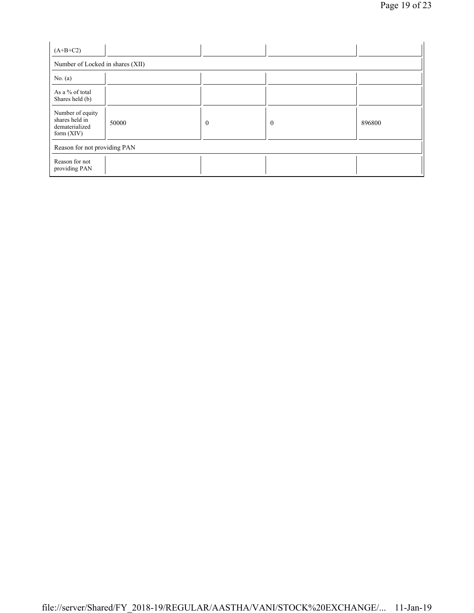| $(A+B+C2)$                                                         |       |          |          |        |  |  |  |  |
|--------------------------------------------------------------------|-------|----------|----------|--------|--|--|--|--|
| Number of Locked in shares (XII)                                   |       |          |          |        |  |  |  |  |
| No. $(a)$                                                          |       |          |          |        |  |  |  |  |
| As a % of total<br>Shares held (b)                                 |       |          |          |        |  |  |  |  |
| Number of equity<br>shares held in<br>dematerialized<br>form (XIV) | 50000 | $\theta$ | $\theta$ | 896800 |  |  |  |  |
| Reason for not providing PAN                                       |       |          |          |        |  |  |  |  |
| Reason for not<br>providing PAN                                    |       |          |          |        |  |  |  |  |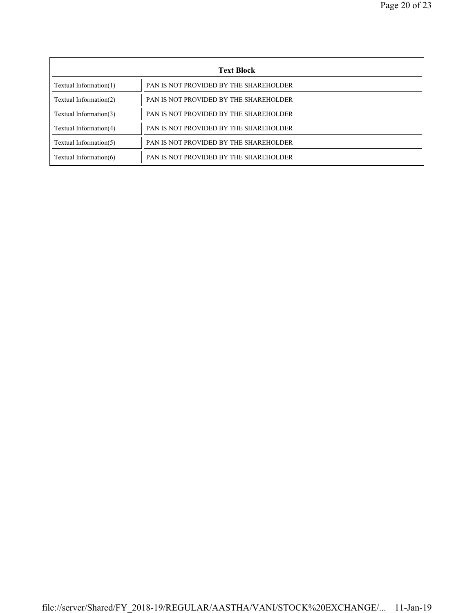| <b>Text Block</b>      |                                        |  |  |  |
|------------------------|----------------------------------------|--|--|--|
| Textual Information(1) | PAN IS NOT PROVIDED BY THE SHAREHOLDER |  |  |  |
| Textual Information(2) | PAN IS NOT PROVIDED BY THE SHAREHOLDER |  |  |  |
| Textual Information(3) | PAN IS NOT PROVIDED BY THE SHAREHOLDER |  |  |  |
| Textual Information(4) | PAN IS NOT PROVIDED BY THE SHAREHOLDER |  |  |  |
| Textual Information(5) | PAN IS NOT PROVIDED BY THE SHAREHOLDER |  |  |  |
| Textual Information(6) | PAN IS NOT PROVIDED BY THE SHAREHOLDER |  |  |  |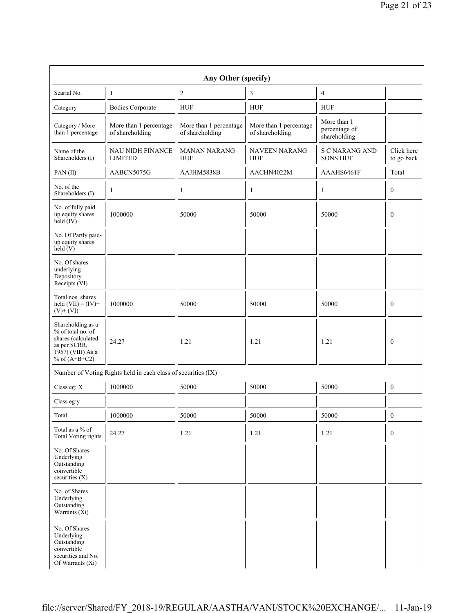| Any Other (specify)                                                                                                  |                                                               |                                           |                                           |                                              |                          |  |  |  |
|----------------------------------------------------------------------------------------------------------------------|---------------------------------------------------------------|-------------------------------------------|-------------------------------------------|----------------------------------------------|--------------------------|--|--|--|
| Searial No.                                                                                                          | 1                                                             | $\overline{c}$                            | 3                                         | $\overline{4}$                               |                          |  |  |  |
| Category                                                                                                             | <b>Bodies Corporate</b>                                       | <b>HUF</b>                                | <b>HUF</b>                                | <b>HUF</b>                                   |                          |  |  |  |
| Category / More<br>than 1 percentage                                                                                 | More than 1 percentage<br>of shareholding                     | More than 1 percentage<br>of shareholding | More than 1 percentage<br>of shareholding | More than 1<br>percentage of<br>shareholding |                          |  |  |  |
| Name of the<br>Shareholders (I)                                                                                      | <b>NAU NIDH FINANCE</b><br><b>LIMITED</b>                     | <b>MANAN NARANG</b><br><b>HUF</b>         | <b>NAVEEN NARANG</b><br><b>HUF</b>        | <b>S C NARANG AND</b><br><b>SONS HUF</b>     | Click here<br>to go back |  |  |  |
| PAN(II)                                                                                                              | AABCN5075G                                                    | AAJHM5838B                                | AACHN4022M                                | AAAHS6461F                                   | Total                    |  |  |  |
| No. of the<br>Shareholders (I)                                                                                       | 1                                                             | $\mathbf{1}$                              | 1                                         | 1                                            | $\mathbf{0}$             |  |  |  |
| No. of fully paid<br>up equity shares<br>held (IV)                                                                   | 1000000                                                       | 50000                                     | 50000                                     | 50000                                        | $\mathbf{0}$             |  |  |  |
| No. Of Partly paid-<br>up equity shares<br>held(V)                                                                   |                                                               |                                           |                                           |                                              |                          |  |  |  |
| No. Of shares<br>underlying<br>Depository<br>Receipts (VI)                                                           |                                                               |                                           |                                           |                                              |                          |  |  |  |
| Total nos. shares<br>held $(VII) = (IV) +$<br>$(V)$ + $(VI)$                                                         | 1000000                                                       | 50000                                     | 50000                                     | 50000                                        | $\mathbf{0}$             |  |  |  |
| Shareholding as a<br>% of total no. of<br>shares (calculated<br>as per SCRR,<br>1957) (VIII) As a<br>% of $(A+B+C2)$ | 24.27                                                         | 1.21                                      | 1.21                                      | 1.21                                         | $\mathbf{0}$             |  |  |  |
|                                                                                                                      | Number of Voting Rights held in each class of securities (IX) |                                           |                                           |                                              |                          |  |  |  |
| Class eg: X                                                                                                          | 1000000                                                       | 50000                                     | 50000                                     | 50000                                        | $\boldsymbol{0}$         |  |  |  |
| Class eg:y                                                                                                           |                                                               |                                           |                                           |                                              |                          |  |  |  |
| Total                                                                                                                | 1000000                                                       | 50000                                     | 50000                                     | 50000                                        | $\boldsymbol{0}$         |  |  |  |
| Total as a % of<br><b>Total Voting rights</b>                                                                        | 24.27                                                         | 1.21                                      | 1.21                                      | 1.21                                         | $\boldsymbol{0}$         |  |  |  |
| No. Of Shares<br>Underlying<br>Outstanding<br>convertible<br>securities $(X)$                                        |                                                               |                                           |                                           |                                              |                          |  |  |  |
| No. of Shares<br>Underlying<br>Outstanding<br>Warrants $(X_i)$                                                       |                                                               |                                           |                                           |                                              |                          |  |  |  |
| No. Of Shares<br>Underlying<br>Outstanding<br>convertible<br>securities and No.<br>Of Warrants (Xi)                  |                                                               |                                           |                                           |                                              |                          |  |  |  |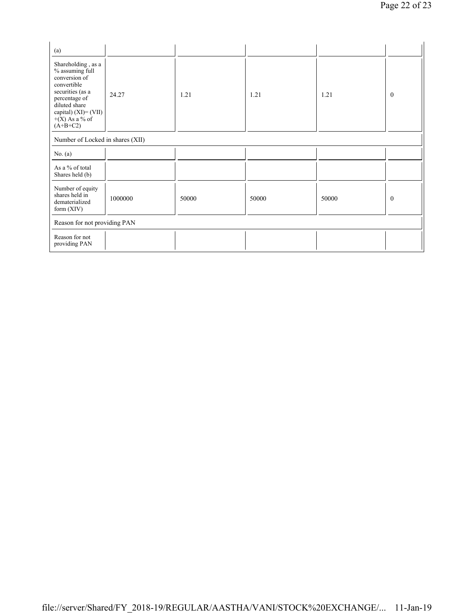| (a)                                                                                                                                                                                      |         |       |       |       |              |
|------------------------------------------------------------------------------------------------------------------------------------------------------------------------------------------|---------|-------|-------|-------|--------------|
| Shareholding, as a<br>% assuming full<br>conversion of<br>convertible<br>securities (as a<br>percentage of<br>diluted share<br>capital) $(XI) = (VII)$<br>$+(X)$ As a % of<br>$(A+B+C2)$ | 24.27   | 1.21  | 1.21  | 1.21  | $\mathbf{0}$ |
| Number of Locked in shares (XII)                                                                                                                                                         |         |       |       |       |              |
| No. $(a)$                                                                                                                                                                                |         |       |       |       |              |
| As a % of total<br>Shares held (b)                                                                                                                                                       |         |       |       |       |              |
| Number of equity<br>shares held in<br>dematerialized<br>form (XIV)                                                                                                                       | 1000000 | 50000 | 50000 | 50000 | $\mathbf{0}$ |
| Reason for not providing PAN                                                                                                                                                             |         |       |       |       |              |
| Reason for not<br>providing PAN                                                                                                                                                          |         |       |       |       |              |